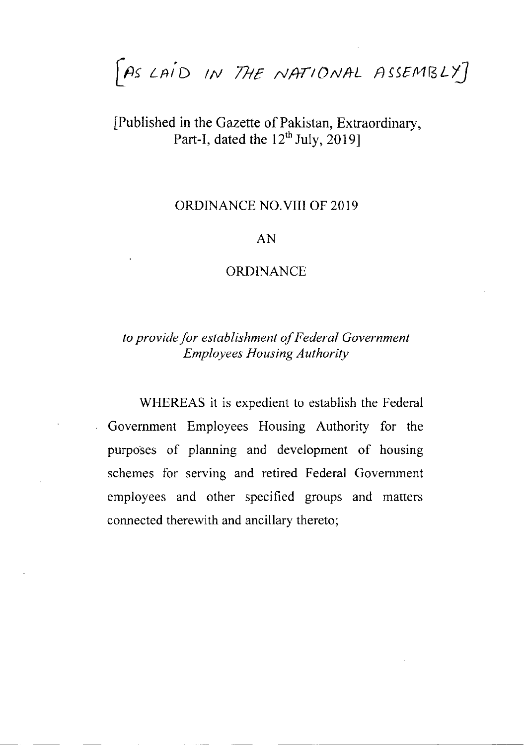FAS LAID IN THE NATIONAL ASSEMBLY]

# [Published in the Gazette of Pakistan, Extraordinary, Part-I, dated the  $12^{th}$  July, 2019]

## ORDINANCE NO.VIII OF 2019

### AN

## ORDINANCE

## to provide for establishment of Federal Government **Employees Housing Authority**

WHEREAS it is expedient to establish the Federal Govemment Employees Housing Authority for the purposes of planning and development of housing schemes for serving and retired Federal Govemment employees and other specified groups and matters connected therewith and ancillary thereto;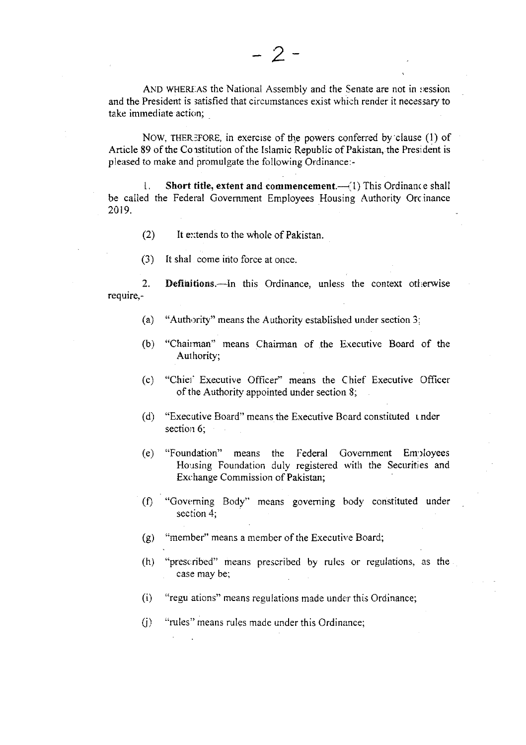AND WHEREAS the National Assembly and the Senate are not in session and the President is satisfied that circumstances exist which render it necessary to take immediate action;

NOW, THEREFORE, in exercise of the powers conferred by clause (1) of Article 89 of the Constitution of the Islamic Republic of Pakistan, the President is pleased to make and promulgate the following Ordinance:-

Short title, extent and commencement.—(1) This Ordinance shall 1. be called the Federal Government Employees Housing Authority Orcinance 2019.

- $(2)$ It extends to the whole of Pakistan.
- It shall come into force at once.  $(3)$

 $2.$ Definitions.—In this Ordinance, unless the context otherwise require,-

- "Authority" means the Authority established under section 3;  $(a)$
- (b) "Chairman" means Chairman of the Executive Board of the Authority;
- $(c)$ "Chief Executive Officer" means the Chief Executive Officer of the Authority appointed under section 8;
- "Executive Board" means the Executive Board constituted under  $(d)$ section 6:
- "Foundation" means the Federal Government Employees  $(e)$ Housing Foundation duly registered with the Securities and Exchange Commission of Pakistan;
- (f) "Governing Body" means governing body constituted under section  $4$ :
- "member" means a member of the Executive Board;  $(g)$
- $(h)$ "prescribed" means prescribed by rules or regulations, as the case may be;
- $(i)$ "regu ations" means regulations made under this Ordinance;
- "rules" means rules made under this Ordinance;  $(i)$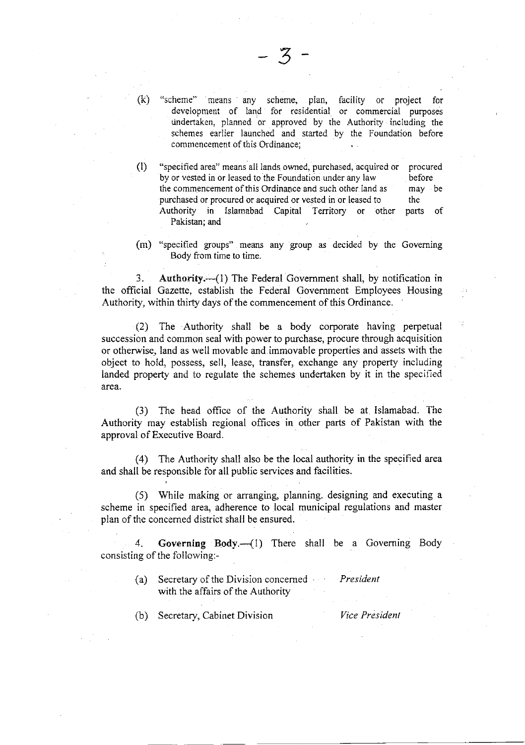"scheme" means any scheme, plan, facility or project for development of land for residential or commercial purposes dndertaken, planned or approved by the Authority including the schemes earlier launched and started by the Foundation before commencement of this Ordinance;

- (l) "specified area" means all lands owned, purchased, acquired or by or vested in or leased to the Foundation under any Iaw the commencement of this Ordinance and such other land as purchased or procured or acquired or vested in or leased to Authority in Islamabad Capital Territory or other Pakistan; and procured before may be the parts of
- (m) "specified groups" means any group as decided by the Goveming Body from time to time.

3. Authority. $-(1)$  The Federal Government shall, by notification in the official Gazette, establish the Federal Govemment Employees Housing Authority, within thirty days of the commencement of this Ordinance.

(2) The Authority shall be a body corporate having perpetual succession and common seal with power to purchase, procure through acquisition or otherwise, land as well movable and immovable properties and assets with the object to hold, possess, sell, lease, transfer, exchange any property including landed property and to regulate the schemes undertaken by it in the specified area.

(3) The head office of the Authority shall be at Islamabad. The Authority may establish regional offices in other parts of Pakistan with the approval of Executive Board.

(4) The Authority shall also be the local authority in the specified area and shall be responsible for all public services and facilities.

(5) While making or arranging, planning. designing and executing <sup>a</sup> scheme in specified area, adherence to local municipal regulations and master plan of the concerned district shall be ensured.

4. Governing Body.—(1) There shall be a Governing Body consisting of the following:-

- (a) Secretary of the Division concerned with the affairs of the Authority President
- (b) Secretary, Cabinet Division *Vice President*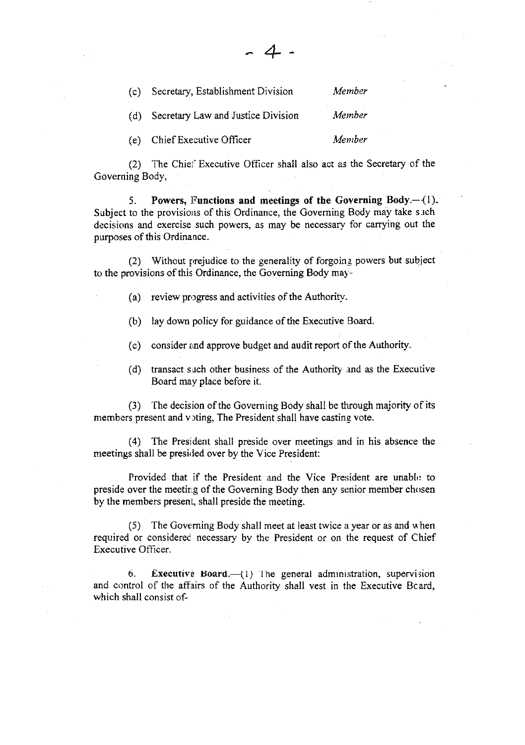| (c) | Secretary, Establishment Division  | Member |
|-----|------------------------------------|--------|
| (d) | Secretary Law and Justice Division | Member |
|     | (e) Chief Executive Officer        | Member |

(2) The Chiel'Executive Officer shall also act as the Secretary of the Governing Body,

+

5. Powers, Functions and meetings of the Governing Body. $-(1)$ . Subject to the provisions of this Ordinance, the Governing Body may take such decisions and exercise such powers, as may be necessary for carrying out the purposes of this Ordinance.

(2) Without prejudice to the generality of forgoing powers but subject to the provisions of this Ordinance, the Governing Body may-

(a) review progress and activities of the Authority.

(b) lay down policy for guidance of the Executive Board.

(c) consider and approve budget and audit report of the Authority.

(d) transact such other business of the Authority and as the Executive Board may place before it.

(3) The decision of the Governing Body shall be through majority of its members present and voting, The President shall have casting vote.

(4) The President shall preside over meetings and in his absence the meetings shall be presided over by the Vice President:

Provided that if the President and the Vice President are unable to preside over the meeting of the Governing Body then any senior member chosen by the members presenl, shall preside the meeting.

 $(5)$  The Governing Body shall meet at least twice a year or as and when required or considered necessary by the President or on the request of Chief Executive Officer.

6. Executive Board. $-$ {1} lhe general administration, supervision and control of the affairs of the Authority shall vest in the Executive Bcard, which shall consist of-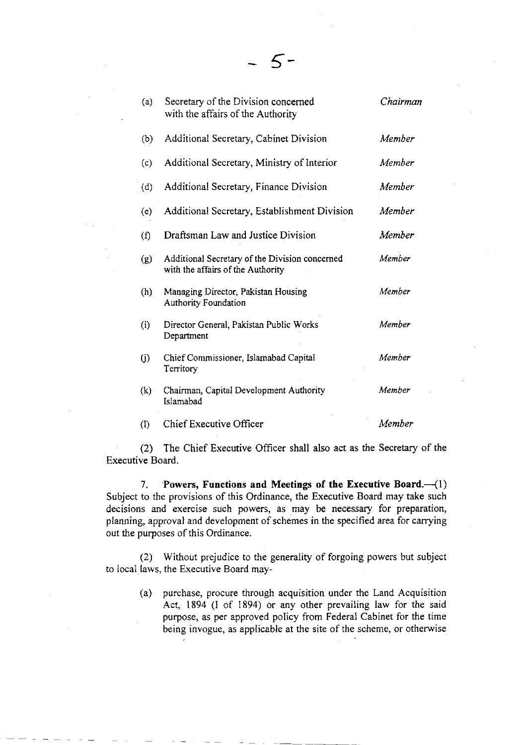| (a)                        | Secretary of the Division concerned<br>with the affairs of the Authority            | Chairman |
|----------------------------|-------------------------------------------------------------------------------------|----------|
| (b)                        | Additional Secretary, Cabinet Division                                              | Member   |
| (c)                        | Additional Secretary, Ministry of Interior                                          | Member   |
| (d)                        | Additional Secretary, Finance Division                                              | Member   |
| (e)                        | Additional Secretary, Establishment Division                                        | Member   |
| (f)                        | Draftsman Law and Justice Division                                                  | Member   |
| (g)                        | Additional Secretary of the Division concerned<br>with the affairs of the Authority | Member   |
| (h)                        | Managing Director, Pakistan Housing<br><b>Authority Foundation</b>                  | Member   |
| (i)                        | Director General, Pakistan Public Works<br>Department                               | Member   |
| (i)                        | Chief Commissioner, Islamabad Capital<br>Territory                                  | Member   |
| (k)                        | Chairman, Capital Development Authority<br>Islamabad                                | Member   |
| $\left( \mathrm{I}\right)$ | Chief Executive Officer                                                             | Member   |

 $5-$ 

(2) The Chief Executive Officer shall also act as the Secretary of the Executive Board.

7. Powers, Functions and Meetings of the Executive Board. $-(1)$ Subject to the provisions of this Ordinance, the Executive Board may take such decisions and exercise such powers, as may be necessary for preparation, planning, approval and development of schemes in the specified area for carrying out the purposes of this Ordinance.

(2) Without prejudice to the generality of forgoing powers but subject to local laws, the Executive Board may-

> (a) purchase, procure through acquisition under the Land Acquisition Act, 1894 (l of 1894) or any other prevailing law for the said purpose, as per approved policy from Federal Cabinet for the time being invogue, as applicable at the site of the scheme, or otherwise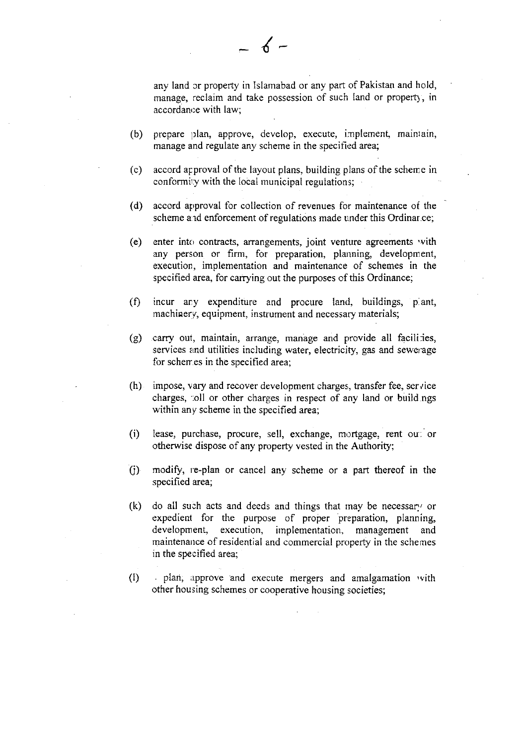any land cr properry in Islamabad or any part of Pakistan and hold, manage, reclaim and take possession of such land or property, in accordance with law;

(b) prepare plan, approve, develop, execute, implement, maintain, manage and regulate any scheme in the specified area;

 $-6-$ 

- (c) accord approval of the layout plans, building plans of the scheme in conformiry with the local municipal regulations;
- (d) accord approval for collection of revenues for maintenance o{ the scheme and enforcement of regulations made under this Ordinar.ce;
- (e) enter into contracts, arrangements, joint venture agreements 'vith any person or firm, for preparation, planning, development, execution, implementation and maintenance of schemes in the specified area, for carrying out the purposes of this Ordinance:
- (0 incur ary expenditure and procure land, buildings, p.ant, machinery, equipment, instrument and necessary materials;
- (g) carry out, maintain, arrange, manage and provide all facilities, services and utilities including water, electricity, gas and sewerage for schemes in the specified area;
- $(h)$  impose, vary and recover development charges, transfer fee, service charges, foll or other charges in respect of any land or buildings within any scheme in the specified area;
- (i) lease, purchase, procure, sell, exchange, mortgage, rent out or otherwise dispose of any property vested in the Authority;
- (j) modify, re-plan or cancel any scheme or a part thereof in the specified area;
- (k) do all such acts and deeds and things that may be necessary or expedient for the purpose of proper preparation, planning, development, execution, implementation, management and maintenance of residential and commercial property in the schemes in the specified area;
- (t) . plari, approve and execute mergers and amalgamation 'vith other housing schemes or cooperative housing societies;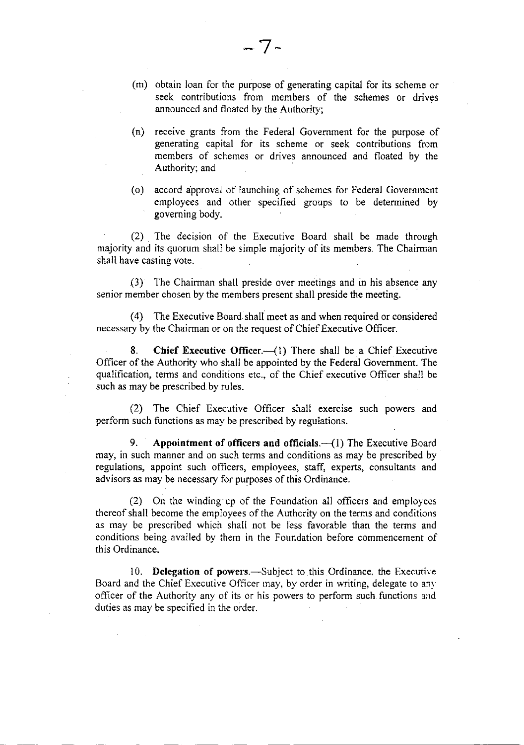- (n) receive grants from the Federal Government for the purpose of generating capital for its scheme or seek contributions from members of schemes or drives announced and floated by the Authority; and
- (o) accord approval of launching of schemes for Federal Covernment employees and other specified groups to be determined by goveming body.

(2) The decision of the Executive Board shall be made through majority and its quorum shall be simple majority of its members. The Chairman shall have casting vote.

 $(3)$  The Chairman shall preside over meetings and in his absence any senior member chosen by the members present shall preside the meeting.

(4) The Executive Board shall meet as and when required or considered necessary by the Chairman or on the request of Chief Executive Officer.

8. Chief Executive Officer. $\left(-1\right)$  There shall be a Chief Executive Officer of the Authority who shall be appointed by the Federal Government. The qualification, terms and conditions etc., of the Chief executive Oflicer shall be such as may be prescribed by rules.

(2) The Chief Executive Officer shall exercise such powers and perform such functions as may be prescribed by regulations.

9. Appointment of officers and officials. $\left(\begin{array}{cc}1\end{array}\right)$  The Executive Board may, in such manner and on such terms and conditions as may be prescribed by regulations, appoint such officers, employees, staff, experts, consultants and advisors as may be necessary for purposes of this Ordinance.

(2) On the winding up of the Foundation all officers and employecs thereof shall become the employees of the Authority on the terms and conditions as may be prescribed which shall not be less favorable than the terms and conditions being availed by them in the Foundation before commencement of this Ordinance.

10. Delegation of powers.—Subject to this Ordinance, the Executive Board and the Chief Executive Officer may, by order in writing, delegate to any officer of the Authority any of its or his powers to perform such functions and duties as may be specified in the order.

announced and floated by the Authority;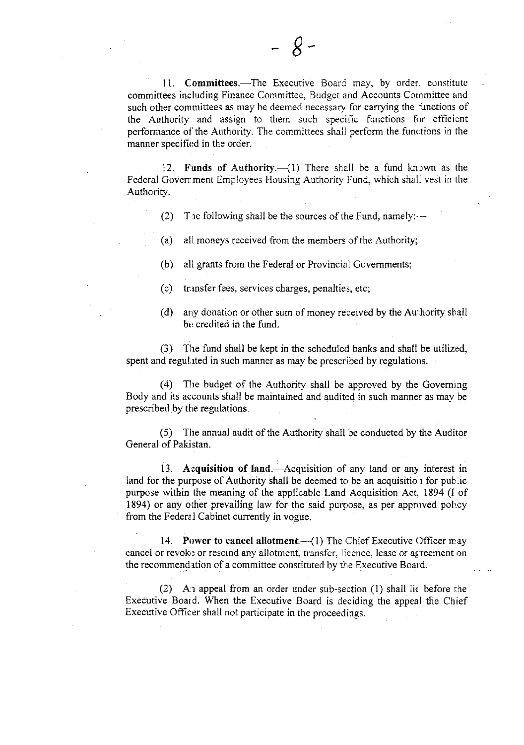11. Committees.-The Executive Board may, by order, constitute committees including Finance Committee, Budget and Accounts Cornmittee and such other committees as may be deemed necessary for carrying the functions of the Authority and assign to them such specific functions for efficient performance of the Authority. The committees shall perform the functions in the manner specified in the order.

12. Funds of Authority. $\left(\begin{array}{cc}1\end{array}\right)$  There shall be a fund kn rwn as the Federal Government Employees Housing Authority Fund, which shall vest in the Authority.

(2) The following shall be the sources of the Fund, namely: $-$ 

(a) all moneys received from the members of the Authority;

(b) all grants from the Federal or Provincial Govemments;

(c) tr.rnsfer fees. sen'ices charges, penalties, etc;

(d) any donation or other sum of money received by the Authority shall bo credited in the fund,

(3) The fund shall be kept in the scheduled banks and shall be utilize'd, spent and regulated in such manner as may be prescribed by regulations.

 $(4)$  The budget of the Authority shall be approved by the Governing Body and its accounts shall be maintained and audited in such manner as may be prescribed by the regulations.

(5) The annual audit of the Authority shall be conducted by the Auditor General of Pakistan.

13. Acquisition of land.—Acquisition of any land or any interest in land for the purpose of Authority shall be deemed to be an acquisition for public purpose within the meaning of the applicable Land Acquisition Act. 1894 (l of 1894) or any other prevailing law for the said purpose, as per approved policy from the Federe.l Cabinet currently in vogue.

14. Power to cancel allotment. $-$ (1) The Chief Executive ()fficer may cancel or revoke or rescind any allotment, transfer, licence, lease or agreement on the recommendation of a committee constituted by the Executive Board.

(2) An appeal from an order under sub-section  $(1)$  shall lie before the Executive Board. When the Executive Board is deciding the appeal the Chief Executive Officer shall not participate in the proceedings.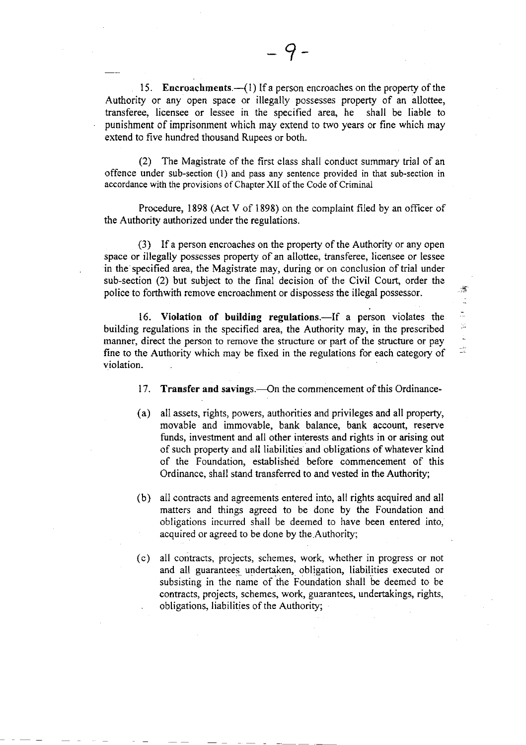15. Encroachments. $-\frac{1}{1}$  If a person encroaches on the property of the Authoriry or any open space or illegally possesses property of an allottee, transferee, licensee or lessee in the specified area, he shall be liable to punishment of imprisonment which may extend to rwo years or fine which may extend to five hundred thousand Rupees or both.

(2) The Magistrate of the first class shall conduct summary trial of an offence under sub-section (l) and pass any sentence provided in that sub-section in accordance with the provisions of Chapter XII of the Code of Criminal

Procedure, 1898 (Act V of 1898) on the complaint filed by an officer of the Authority authorized under the regulations.

 $(3)$  If a person encroaches on the property of the Authority or any open space or illegally possesses property of an allottee, transferee, licensee or lessee in the specified area, the Magistrate may, during or on conclusion of trial under sub-section (2) but subject to the final decision of the Civit Court, order the police to forthwith remove encroachment or dispossess the illegal possessor.

 $\overline{\mathcal{Z}}$  $\frac{1}{2}$  $\overline{\mathbb{Z}}$ y.<br>Ar  $\frac{1}{\sigma_0}$ نافيل<br>الات

16. Violation of building regulations.—If a person violates the building regulations in the specified area, the Authority may, in the prescribed manner, direct the person to remove the structure or part of the structure or pay fine to the Authority which may be fixed in the regulations for each category of violation.

- 17. Transfer and savings.—On the commencement of this Ordinance-
- (a) all assets, rights, powers, authorities and privileges and all properly, movable and immovable, bank balance, bank account, reserve funds, investment and all other interests and rights in or arising out of such property and all liabilities and obligations of whatever kind of the Foundation, established before commencement of this Ordinance, shall stand transferred to and vested in the Authority;
- (b) all contracts and agreements entered into, all rights acquired and all matters and things agreed to be done by the Foundation and obligations incurred shall be deemed to have been entered into, acquired or agreed to be done by the.Authority;
- (c) all contracts, projects, schemes, work, whether in progress or not and all guarantees undertaken, obligation, liabilities executed or subsisting in the name of the Foundation shall be deemed to be contracts, projects, schemes, work, guarantees, undertakings, rights, obligations, liabilities of the Authority;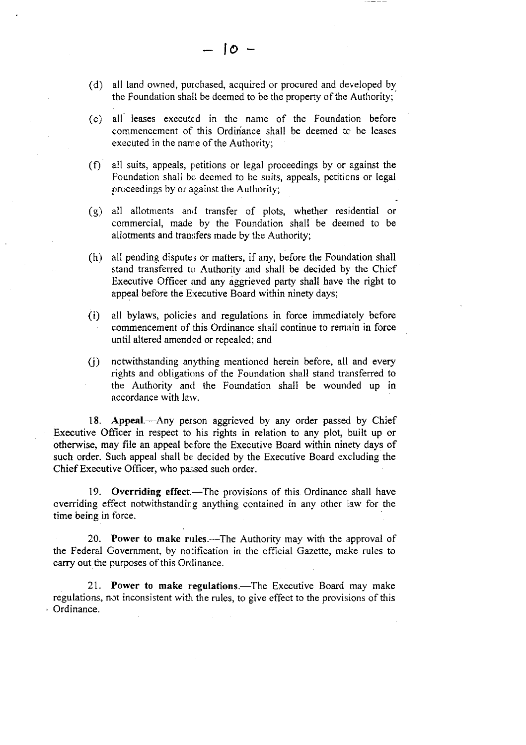- (d) all land owned, purchased, acquired or procured and developed by the Foundation shall be deemed to be the property of the Authority;
- (e) all leases executed in the name of the Foundation before commencement of this Ordinance shall be deemed to be leases executed in the name of the Authority;
- $(f)$  all suits, appeals, petitions or legal proceedings by or against the Foundation shall be deemed to be suits, appeals, petiticns or legal proceedings by or against the Authority;
- $(g)$  all allotments and transfer of plots, whether residential or commercial, made by the Foundation shall be deerned to be allotments and transfers made by the Authority;
- $(h)$  all pending disputes or matters, if any, before the Foundation shall stand transferred to Authority and shall be decided by the Chief Executive Officer and any aggrieved party shall have the right to appeal before the Executive Board within ninety days;
- (i) all bylaws, policies and regulations in force immediately before commencement of this Ordinance shall continue to remain in force until altered amended or repealed; and
- $(i)$  notwithstanding anything mentioned herein before, all and every rights and obligations of the Foundation shall stand transferred to the Authority and the Foundation shall be wounded up in accordance with larv.

18. Appeal.---Any person aggrieved by any order passed by Chief Executive Officer in respect to his rights in relation to any plot, built up or otherwise, may file an appeal before the Executive Board within ninety days of such order. Such appeal shall be decided by the Executive Board excluding the Chief Executive Officer, who passed such order.

19. Overriding effect.—The provisions of this Ordinance shall have overriding effect notwithstanding anything contained in any other law for the time being in force.

20. Power to make rules.—The Authority may with the approval of the Federal Covernment, by notification in the official Gazette, make rules to carry out the purposes of this Ordinance.

21. Power to make regulations.—The Executive Board may make regulations, not inconsistent with the rules, to give effect to the provisions of this Ordinance.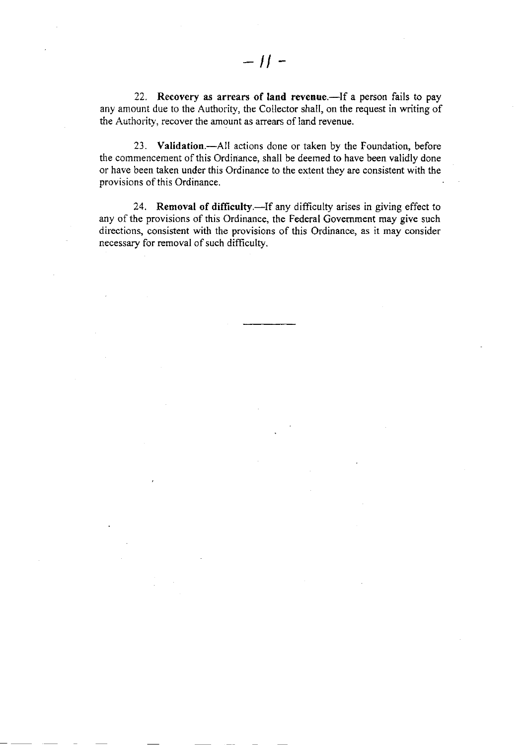22. Recovery as arrears of land revenue.-If a person fails to pay any amount due to the Authority, the Collector shall, on the request in writing of the Authority, recover the amount as anears of land revenue.

23. Validation.—All actions done or taken by the Foundation, before the commencement of this Ordinance, shall be deemed to have been validly done or have been taken under this Ordinance to the extent they are consistent with the provisions of this Ordinance.

24. Removal of difficulty.-If any difficulty arises in giving effect to any of the provisions of this Ordinance, the Federal Government may give such directions, consistent with the provisions of this Ordinance, as it may consider necessary for removaI of such difficulty.